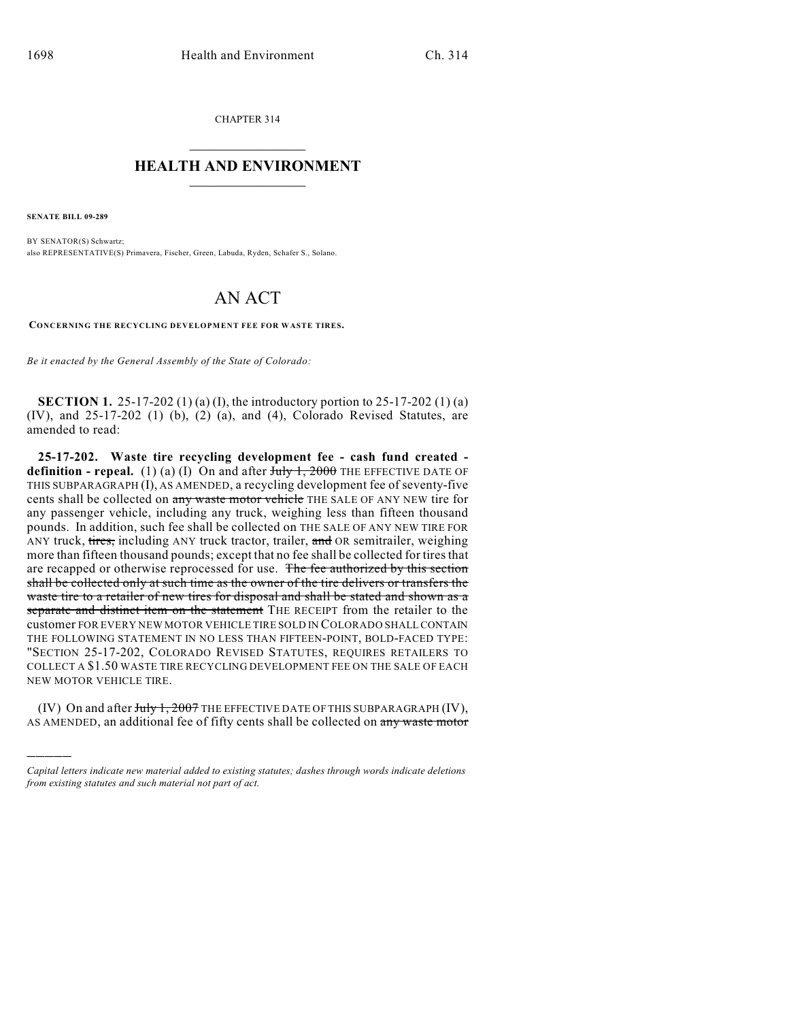CHAPTER 314  $\mathcal{L}_\text{max}$  . The set of the set of the set of the set of the set of the set of the set of the set of the set of the set of the set of the set of the set of the set of the set of the set of the set of the set of the set

## **HEALTH AND ENVIRONMENT**  $\_$

**SENATE BILL 09-289**

)))))

BY SENATOR(S) Schwartz; also REPRESENTATIVE(S) Primavera, Fischer, Green, Labuda, Ryden, Schafer S., Solano.

## AN ACT

**CONCERNING THE RECYCLING DEVELOPMENT FEE FOR WASTE TIRES.**

*Be it enacted by the General Assembly of the State of Colorado:*

**SECTION 1.** 25-17-202 (1) (a) (I), the introductory portion to 25-17-202 (1) (a) (IV), and 25-17-202 (1) (b), (2) (a), and (4), Colorado Revised Statutes, are amended to read:

**25-17-202. Waste tire recycling development fee - cash fund created definition - repeal.** (1) (a) (I) On and after  $\overline{t}$ uly 1, 2000 THE EFFECTIVE DATE OF THIS SUBPARAGRAPH (I), AS AMENDED, a recycling development fee of seventy-five cents shall be collected on any waste motor vehicle THE SALE OF ANY NEW tire for any passenger vehicle, including any truck, weighing less than fifteen thousand pounds. In addition, such fee shall be collected on THE SALE OF ANY NEW TIRE FOR ANY truck, tires, including ANY truck tractor, trailer, and OR semitrailer, weighing more than fifteen thousand pounds; except that no fee shall be collected for tires that are recapped or otherwise reprocessed for use. The fee authorized by this section shall be collected only at such time as the owner of the tire delivers or transfers the waste tire to a retailer of new tires for disposal and shall be stated and shown as a separate and distinct item on the statement THE RECEIPT from the retailer to the customer FOR EVERY NEW MOTOR VEHICLE TIRE SOLD IN COLORADO SHALL CONTAIN THE FOLLOWING STATEMENT IN NO LESS THAN FIFTEEN-POINT, BOLD-FACED TYPE: "SECTION 25-17-202, COLORADO REVISED STATUTES, REQUIRES RETAILERS TO COLLECT A \$1.50 WASTE TIRE RECYCLING DEVELOPMENT FEE ON THE SALE OF EACH NEW MOTOR VEHICLE TIRE.

(IV) On and after July 1, 2007 THE EFFECTIVE DATE OF THIS SUBPARAGRAPH (IV), AS AMENDED, an additional fee of fifty cents shall be collected on any waste motor

*Capital letters indicate new material added to existing statutes; dashes through words indicate deletions from existing statutes and such material not part of act.*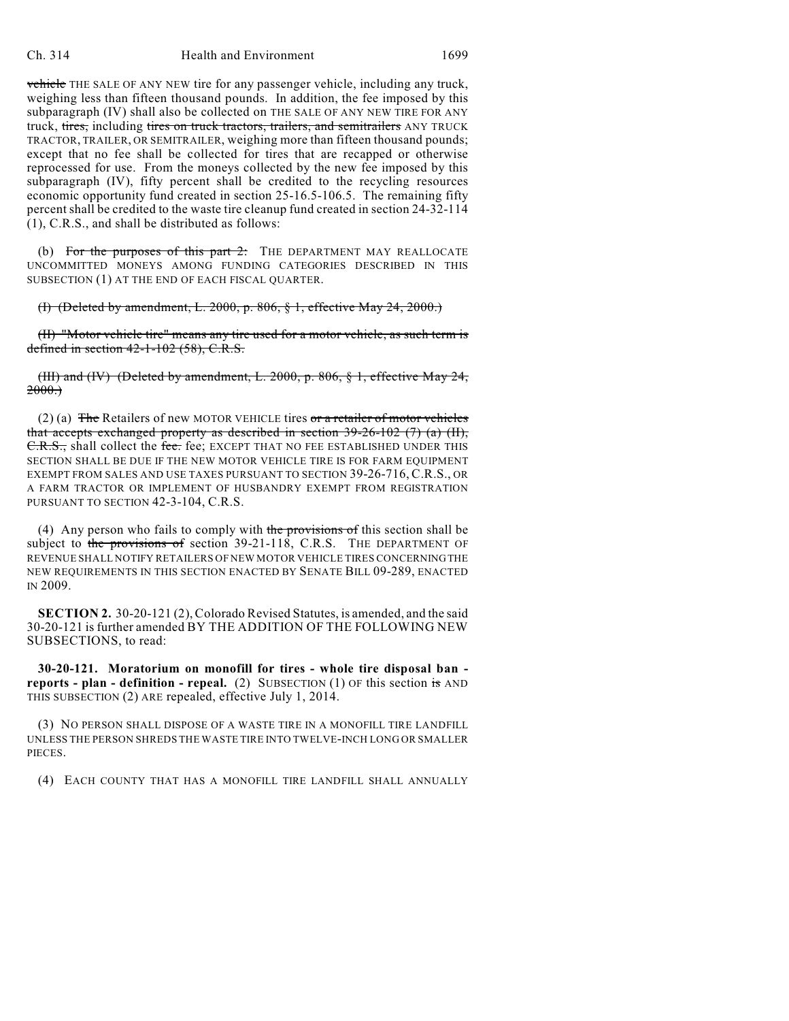vehicle THE SALE OF ANY NEW tire for any passenger vehicle, including any truck, weighing less than fifteen thousand pounds. In addition, the fee imposed by this subparagraph (IV) shall also be collected on THE SALE OF ANY NEW TIRE FOR ANY truck, tires, including tires on truck tractors, trailers, and semitrailers ANY TRUCK TRACTOR, TRAILER, OR SEMITRAILER, weighing more than fifteen thousand pounds; except that no fee shall be collected for tires that are recapped or otherwise reprocessed for use. From the moneys collected by the new fee imposed by this subparagraph (IV), fifty percent shall be credited to the recycling resources economic opportunity fund created in section 25-16.5-106.5. The remaining fifty percent shall be credited to the waste tire cleanup fund created in section 24-32-114 (1), C.R.S., and shall be distributed as follows:

(b) For the purposes of this part  $2$ : The DEPARTMENT MAY REALLOCATE UNCOMMITTED MONEYS AMONG FUNDING CATEGORIES DESCRIBED IN THIS SUBSECTION (1) AT THE END OF EACH FISCAL QUARTER.

(I) (Deleted by amendment, L. 2000, p. 806, § 1, effective May 24, 2000.)

(II) "Motor vehicle tire" means any tire used for a motor vehicle, as such term is defined in section 42-1-102 (58), C.R.S.

(III) and (IV) (Deleted by amendment, L. 2000, p. 806, § 1, effective May 24,  $2000.$ 

(2) (a)  $\overline{\text{The} }$  Retailers of new MOTOR VEHICLE tires or a retailer of motor vehicles that accepts exchanged property as described in section  $39-26-102$  (7) (a) (II), C.R.S., shall collect the fee. fee; EXCEPT THAT NO FEE ESTABLISHED UNDER THIS SECTION SHALL BE DUE IF THE NEW MOTOR VEHICLE TIRE IS FOR FARM EQUIPMENT EXEMPT FROM SALES AND USE TAXES PURSUANT TO SECTION 39-26-716, C.R.S., OR A FARM TRACTOR OR IMPLEMENT OF HUSBANDRY EXEMPT FROM REGISTRATION PURSUANT TO SECTION 42-3-104, C.R.S.

(4) Any person who fails to comply with the provisions of this section shall be subject to the provisions of section 39-21-118, C.R.S. THE DEPARTMENT OF REVENUE SHALL NOTIFY RETAILERS OF NEW MOTOR VEHICLE TIRES CONCERNING THE NEW REQUIREMENTS IN THIS SECTION ENACTED BY SENATE BILL 09-289, ENACTED IN 2009.

**SECTION 2.** 30-20-121 (2), Colorado Revised Statutes, is amended, and the said 30-20-121 is further amended BY THE ADDITION OF THE FOLLOWING NEW SUBSECTIONS, to read:

**30-20-121. Moratorium on monofill for tires - whole tire disposal ban reports - plan - definition - repeal.** (2) SUBSECTION (1) OF this section is AND THIS SUBSECTION (2) ARE repealed, effective July 1, 2014.

(3) NO PERSON SHALL DISPOSE OF A WASTE TIRE IN A MONOFILL TIRE LANDFILL UNLESS THE PERSON SHREDS THE WASTE TIRE INTO TWELVE-INCH LONG OR SMALLER PIECES.

(4) EACH COUNTY THAT HAS A MONOFILL TIRE LANDFILL SHALL ANNUALLY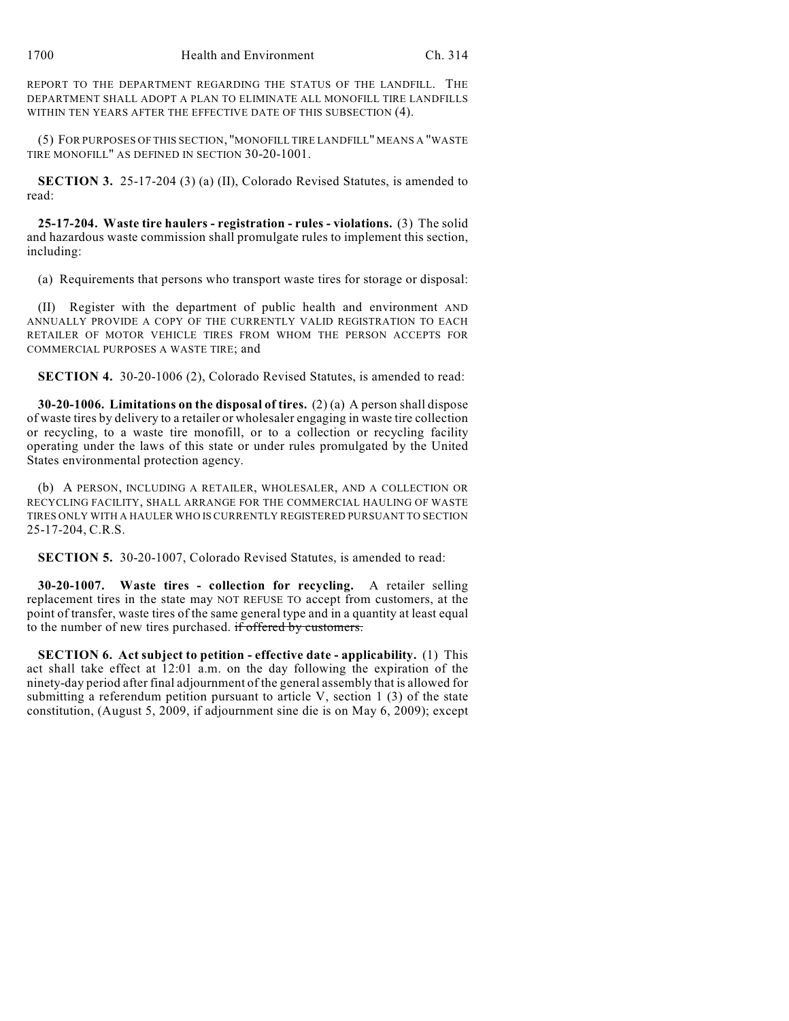REPORT TO THE DEPARTMENT REGARDING THE STATUS OF THE LANDFILL. THE DEPARTMENT SHALL ADOPT A PLAN TO ELIMINATE ALL MONOFILL TIRE LANDFILLS WITHIN TEN YEARS AFTER THE EFFECTIVE DATE OF THIS SUBSECTION (4).

(5) FOR PURPOSES OF THIS SECTION, "MONOFILL TIRE LANDFILL" MEANS A "WASTE TIRE MONOFILL" AS DEFINED IN SECTION 30-20-1001.

**SECTION 3.** 25-17-204 (3) (a) (II), Colorado Revised Statutes, is amended to read:

**25-17-204. Waste tire haulers - registration - rules - violations.** (3) The solid and hazardous waste commission shall promulgate rules to implement this section, including:

(a) Requirements that persons who transport waste tires for storage or disposal:

(II) Register with the department of public health and environment AND ANNUALLY PROVIDE A COPY OF THE CURRENTLY VALID REGISTRATION TO EACH RETAILER OF MOTOR VEHICLE TIRES FROM WHOM THE PERSON ACCEPTS FOR COMMERCIAL PURPOSES A WASTE TIRE; and

**SECTION 4.** 30-20-1006 (2), Colorado Revised Statutes, is amended to read:

**30-20-1006. Limitations on the disposal of tires.** (2) (a) A person shall dispose of waste tires by delivery to a retailer or wholesaler engaging in waste tire collection or recycling, to a waste tire monofill, or to a collection or recycling facility operating under the laws of this state or under rules promulgated by the United States environmental protection agency.

(b) A PERSON, INCLUDING A RETAILER, WHOLESALER, AND A COLLECTION OR RECYCLING FACILITY, SHALL ARRANGE FOR THE COMMERCIAL HAULING OF WASTE TIRES ONLY WITH A HAULER WHO IS CURRENTLY REGISTERED PURSUANT TO SECTION 25-17-204, C.R.S.

**SECTION 5.** 30-20-1007, Colorado Revised Statutes, is amended to read:

**30-20-1007. Waste tires - collection for recycling.** A retailer selling replacement tires in the state may NOT REFUSE TO accept from customers, at the point of transfer, waste tires of the same general type and in a quantity at least equal to the number of new tires purchased. if offered by customers.

**SECTION 6. Act subject to petition - effective date - applicability.** (1) This act shall take effect at 12:01 a.m. on the day following the expiration of the ninety-day period after final adjournment of the general assembly that is allowed for submitting a referendum petition pursuant to article V, section 1  $(3)$  of the state constitution, (August 5, 2009, if adjournment sine die is on May 6, 2009); except